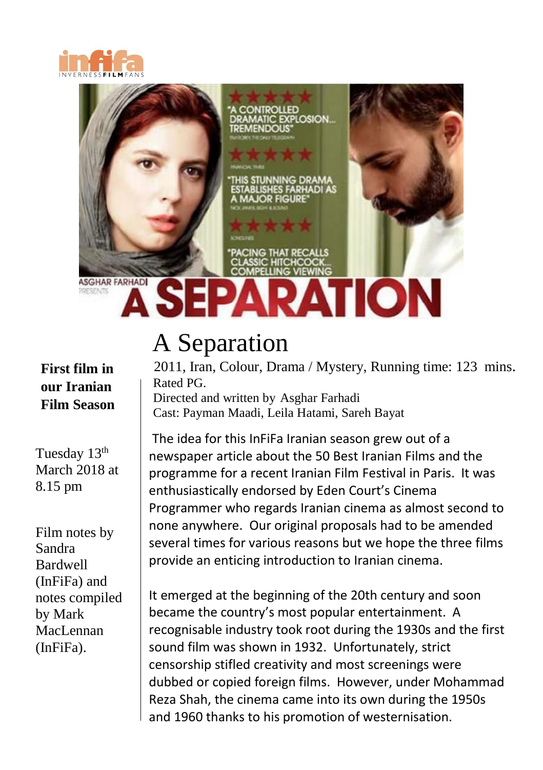



#### **First film in our Iranian Film Season**

Tuesday 13<sup>th</sup> March 2018 at 8.15 pm

Film notes by Sandra Bardwell (InFiFa) and notes compiled by Mark MacLennan (InFiFa).

# A Separation

2011, Iran, Colour, Drama / Mystery, Running time: 123 mins. Rated PG. Directed and written by Asghar Farhadi Cast: Payman Maadi, Leila Hatami, Sareh Bayat

The idea for this InFiFa Iranian season grew out of a newspaper article about the 50 Best Iranian Films and the programme for a recent Iranian Film Festival in Paris. It was enthusiastically endorsed by Eden Court's Cinema Programmer who regards Iranian cinema as almost second to none anywhere. Our original proposals had to be amended several times for various reasons but we hope the three films provide an enticing introduction to Iranian cinema.

It emerged at the beginning of the 20th century and soon became the country's most popular entertainment. A recognisable industry took root during the 1930s and the first sound film was shown in 1932. Unfortunately, strict censorship stifled creativity and most screenings were dubbed or copied foreign films. However, under Mohammad Reza Shah, the cinema came into its own during the 1950s and 1960 thanks to his promotion of westernisation.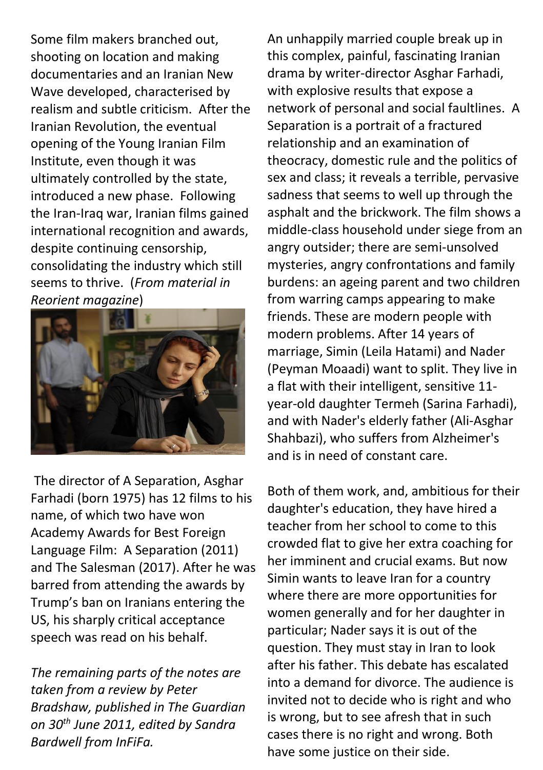documentaries and an Iranian New Some film makers branched out, shooting on location and making Wave developed, characterised by realism and subtle criticism. After the Iranian Revolution, the eventual opening of the Young Iranian Film Institute, even though it was ultimately controlled by the state, introduced a new phase. Following the Iran-Iraq war, Iranian films gained international recognition and awards, despite continuing censorship, consolidating the industry which still seems to thrive. (*From material in Reorient magazine*)



The director of A Separation, Asghar Farhadi (born 1975) has 12 films to his name, of which two have won Academy Awards for Best Foreign Language Film: A Separation (2011) and The Salesman (2017). After he was barred from attending the awards by Trump's ban on Iranians entering the US, his sharply critical acceptance speech was read on his behalf.

*The remaining parts of the notes are taken from a review by Peter Bradshaw, published in The Guardian on 30th June 2011, edited by Sandra Bardwell from InFiFa.*

An unhappily married couple break up in this complex, painful, fascinating Iranian drama by writer-director Asghar Farhadi, with explosive results that expose a network of personal and social faultlines. A Separation is a portrait of a fractured relationship and an examination of theocracy, domestic rule and the politics of sex and class; it reveals a terrible, pervasive sadness that seems to well up through the asphalt and the brickwork. The film shows a middle-class household under siege from an angry outsider; there are semi-unsolved mysteries, angry confrontations and family burdens: an ageing parent and two children from warring camps appearing to make friends. These are modern people with modern problems. After 14 years of marriage, Simin (Leila Hatami) and Nader (Peyman Moaadi) want to split. They live in a flat with their intelligent, sensitive 11 year-old daughter Termeh (Sarina Farhadi), and with Nader's elderly father (Ali-Asghar Shahbazi), who suffers from Alzheimer's and is in need of constant care.

Both of them work, and, ambitious for their daughter's education, they have hired a teacher from her school to come to this crowded flat to give her extra coaching for her imminent and crucial exams. But now Simin wants to leave Iran for a country where there are more opportunities for women generally and for her daughter in particular; Nader says it is out of the question. They must stay in Iran to look after his father. This debate has escalated into a demand for divorce. The audience is invited not to decide who is right and who is wrong, but to see afresh that in such cases there is no right and wrong. Both have some justice on their side.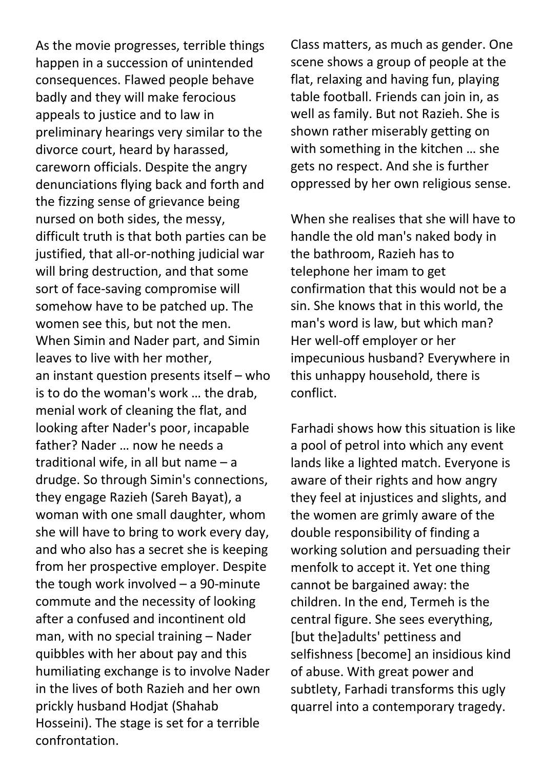happen in a succession of unintended  consequences. Flawed people behave As the movie progresses, terrible things badly and they will make ferocious appeals to justice and to law in preliminary hearings very similar to the divorce court, heard by harassed, careworn officials. Despite the angry denunciations flying back and forth and the fizzing sense of grievance being nursed on both sides, the messy, difficult truth is that both parties can be justified, that all-or-nothing judicial war will bring destruction, and that some sort of face-saving compromise will somehow have to be patched up. The women see this, but not the men. When Simin and Nader part, and Simin leaves to live with her mother, an instant question presents itself – who is to do the woman's work … the drab, menial work of cleaning the flat, and looking after Nader's poor, incapable father? Nader … now he needs a traditional wife, in all but name – a drudge. So through Simin's connections, they engage Razieh (Sareh Bayat), a woman with one small daughter, whom she will have to bring to work every day, and who also has a secret she is keeping from her prospective employer. Despite the tough work involved – a 90-minute commute and the necessity of looking after a confused and incontinent old man, with no special training – Nader quibbles with her about pay and this humiliating exchange is to involve Nader in the lives of both Razieh and her own prickly husband Hodjat (Shahab Hosseini). The stage is set for a terrible confrontation.

Class matters, as much as gender. One scene shows a group of people at the flat, relaxing and having fun, playing table football. Friends can join in, as well as family. But not Razieh. She is shown rather miserably getting on with something in the kitchen … she gets no respect. And she is further oppressed by her own religious sense.

When she realises that she will have to handle the old man's naked body in the bathroom, Razieh has to telephone her imam to get confirmation that this would not be a sin. She knows that in this world, the man's word is law, but which man? Her well-off employer or her impecunious husband? Everywhere in this unhappy household, there is conflict.

Farhadi shows how this situation is like a pool of petrol into which any event lands like a lighted match. Everyone is aware of their rights and how angry they feel at injustices and slights, and the women are grimly aware of the double responsibility of finding a working solution and persuading their menfolk to accept it. Yet one thing cannot be bargained away: the children. In the end, Termeh is the central figure. She sees everything, [but the]adults' pettiness and selfishness [become] an insidious kind of abuse. With great power and subtlety, Farhadi transforms this ugly quarrel into a contemporary tragedy.